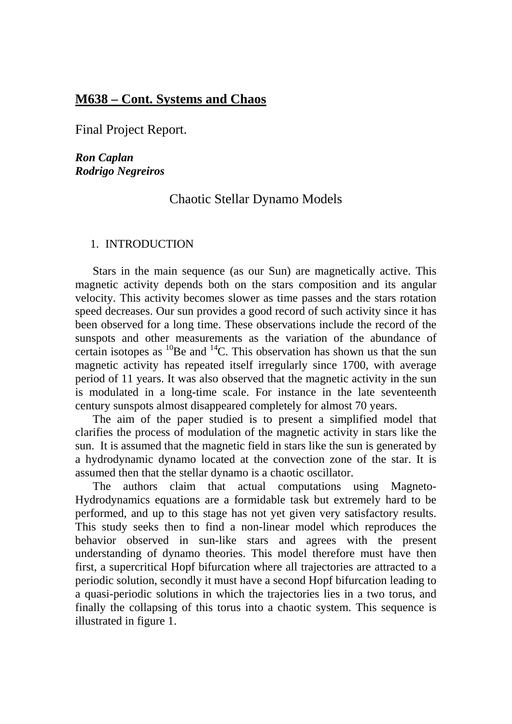# **M638 – Cont. Systems and Chaos**

Final Project Report.

*Ron Caplan Rodrigo Negreiros* 

## Chaotic Stellar Dynamo Models

### 1. INTRODUCTION

 Stars in the main sequence (as our Sun) are magnetically active. This magnetic activity depends both on the stars composition and its angular velocity. This activity becomes slower as time passes and the stars rotation speed decreases. Our sun provides a good record of such activity since it has been observed for a long time. These observations include the record of the sunspots and other measurements as the variation of the abundance of certain isotopes as  ${}^{10}$ Be and  ${}^{14}$ C. This observation has shown us that the sun magnetic activity has repeated itself irregularly since 1700, with average period of 11 years. It was also observed that the magnetic activity in the sun is modulated in a long-time scale. For instance in the late seventeenth century sunspots almost disappeared completely for almost 70 years.

 The aim of the paper studied is to present a simplified model that clarifies the process of modulation of the magnetic activity in stars like the sun. It is assumed that the magnetic field in stars like the sun is generated by a hydrodynamic dynamo located at the convection zone of the star. It is assumed then that the stellar dynamo is a chaotic oscillator.

 The authors claim that actual computations using Magneto-Hydrodynamics equations are a formidable task but extremely hard to be performed, and up to this stage has not yet given very satisfactory results. This study seeks then to find a non-linear model which reproduces the behavior observed in sun-like stars and agrees with the present understanding of dynamo theories. This model therefore must have then first, a supercritical Hopf bifurcation where all trajectories are attracted to a periodic solution, secondly it must have a second Hopf bifurcation leading to a quasi-periodic solutions in which the trajectories lies in a two torus, and finally the collapsing of this torus into a chaotic system. This sequence is illustrated in figure 1.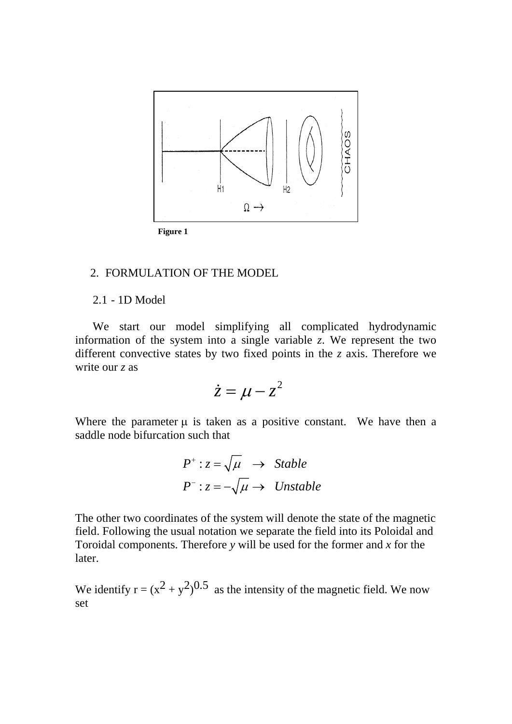

#### **Figure 1**

## 2. FORMULATION OF THE MODEL

### 2.1 - 1D Model

We start our model simplifying all complicated hydrodynamic information of the system into a single variable *z*. We represent the two different convective states by two fixed points in the *z* axis. Therefore we write our *z* as

$$
\dot{z} = \mu - z^2
$$

Where the parameter  $\mu$  is taken as a positive constant. We have then a saddle node bifurcation such that

$$
P^+ : z = \sqrt{\mu} \rightarrow \text{Stable}
$$
  

$$
P^- : z = -\sqrt{\mu} \rightarrow \text{Unstable}
$$

The other two coordinates of the system will denote the state of the magnetic field. Following the usual notation we separate the field into its Poloidal and Toroidal components. Therefore *y* will be used for the former and *x* for the later.

We identify  $r = (x^2 + y^2)^{0.5}$  as the intensity of the magnetic field. We now set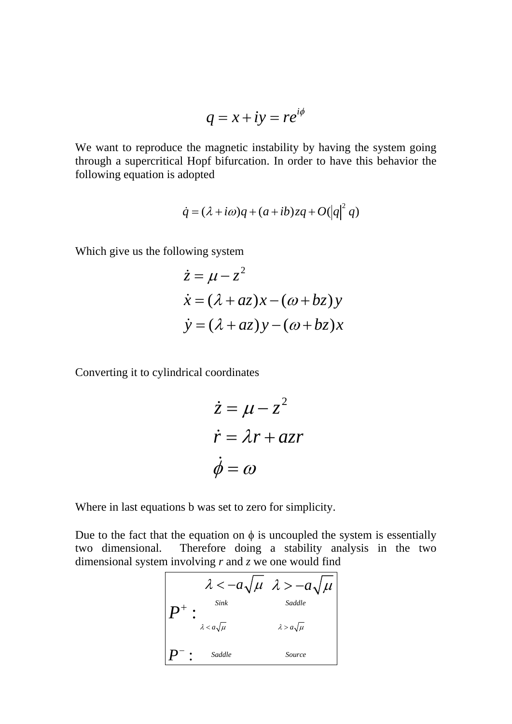$$
q = x + iy = re^{i\phi}
$$

We want to reproduce the magnetic instability by having the system going through a supercritical Hopf bifurcation. In order to have this behavior the following equation is adopted

$$
\dot{q} = (\lambda + i\omega)q + (a + ib)zq + O(|q|^2 q)
$$

Which give us the following system

$$
\begin{aligned}\n\dot{z} &= \mu - z^2 \\
\dot{x} &= (\lambda + az)x - (\omega + bz)y \\
\dot{y} &= (\lambda + az)y - (\omega + bz)x\n\end{aligned}
$$

Converting it to cylindrical coordinates

$$
\begin{aligned}\n\dot{z} &= \mu - z^2 \\
\dot{r} &= \lambda r + a z r \\
\dot{\phi} &= \omega\n\end{aligned}
$$

Where in last equations b was set to zero for simplicity.

Due to the fact that the equation on  $\phi$  is uncoupled the system is essentially two dimensional. Therefore doing a stability analysis in the two dimensional system involving *r* and *z* we one would find

$$
2 < -a\sqrt{\mu} \quad \lambda > -a\sqrt{\mu}
$$
  

$$
P^{+}: \sum_{\lambda < a\sqrt{\mu}} s_{\text{addle}}
$$
  

$$
P^{-}: \text{Saddle} \quad \text{Source}
$$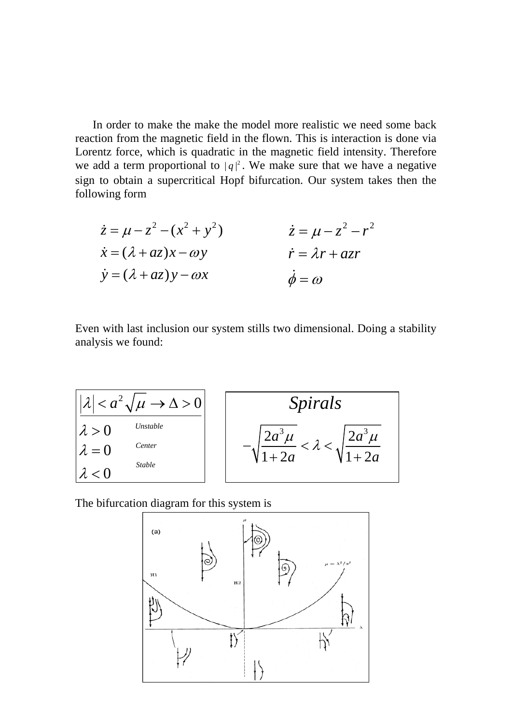In order to make the make the model more realistic we need some back reaction from the magnetic field in the flown. This is interaction is done via Lorentz force, which is quadratic in the magnetic field intensity. Therefore we add a term proportional to  $|q|^2$ . We make sure that we have a negative sign to obtain a supercritical Hopf bifurcation. Our system takes then the following form

$$
\begin{aligned}\n\dot{z} &= \mu - z^2 - (x^2 + y^2) & \dot{z} &= \mu - z^2 - r^2 \\
\dot{x} &= (\lambda + az)x - \omega y & \dot{r} &= \lambda r + azr \\
\dot{y} &= (\lambda + az)y - \omega x & \dot{\phi} &= \omega\n\end{aligned}
$$

Even with last inclusion our system stills two dimensional. Doing a stability analysis we found:



The bifurcation diagram for this system is

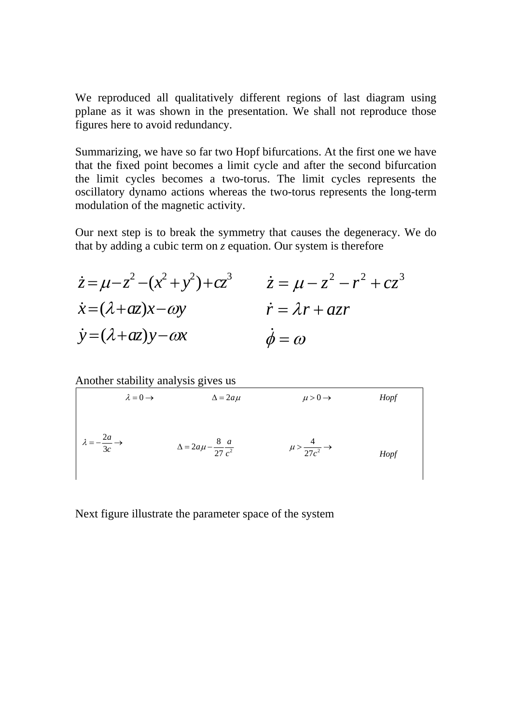We reproduced all qualitatively different regions of last diagram using pplane as it was shown in the presentation. We shall not reproduce those figures here to avoid redundancy.

Summarizing, we have so far two Hopf bifurcations. At the first one we have that the fixed point becomes a limit cycle and after the second bifurcation the limit cycles becomes a two-torus. The limit cycles represents the oscillatory dynamo actions whereas the two-torus represents the long-term modulation of the magnetic activity.

Our next step is to break the symmetry that causes the degeneracy. We do that by adding a cubic term on *z* equation. Our system is therefore

| $\dot{z} = \mu - z^2 - (x^2 + y^2) + cz^3$ | $\dot{z} = \mu - z^2 - r^2 + cz^3$ |
|--------------------------------------------|------------------------------------|
| $\dot{x} = (\lambda + az)x - \omega y$     | $\dot{r} = \lambda r + a z r$      |
| $\dot{y} = (\lambda + az)y - \omega x$     | $\phi = \omega$                    |

Another stability analysis gives us

$$
\lambda = 0 \rightarrow
$$
\n $\Delta = 2a\mu$ \n $\mu > 0 \rightarrow$ \nHopf  
\n $\lambda = -\frac{2a}{3c} \rightarrow$ \n $\Delta = 2a\mu - \frac{8}{27} \frac{a}{c^2}$ \n $\mu > \frac{4}{27c^2} \rightarrow$ \nHopf

Next figure illustrate the parameter space of the system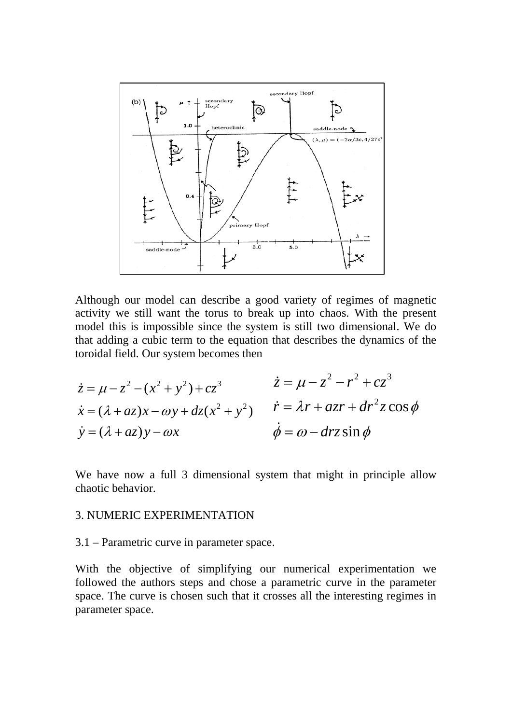

Although our model can describe a good variety of regimes of magnetic activity we still want the torus to break up into chaos. With the present model this is impossible since the system is still two dimensional. We do that adding a cubic term to the equation that describes the dynamics of the toroidal field. Our system becomes then

$$
\begin{aligned}\n\dot{z} &= \mu - z^2 - (x^2 + y^2) + cz^3 & \dot{z} &= \mu - z^2 - r^2 + cz^3 \\
\dot{x} &= (\lambda + az)x - \omega y + dz(x^2 + y^2) & \dot{r} &= \lambda r + azr + dr^2 z \cos \phi \\
\dot{y} &= (\lambda + az)y - \omega x & \dot{\phi} &= \omega - drz \sin \phi\n\end{aligned}
$$

We have now a full 3 dimensional system that might in principle allow chaotic behavior.

### 3. NUMERIC EXPERIMENTATION

3.1 – Parametric curve in parameter space.

With the objective of simplifying our numerical experimentation we followed the authors steps and chose a parametric curve in the parameter space. The curve is chosen such that it crosses all the interesting regimes in parameter space.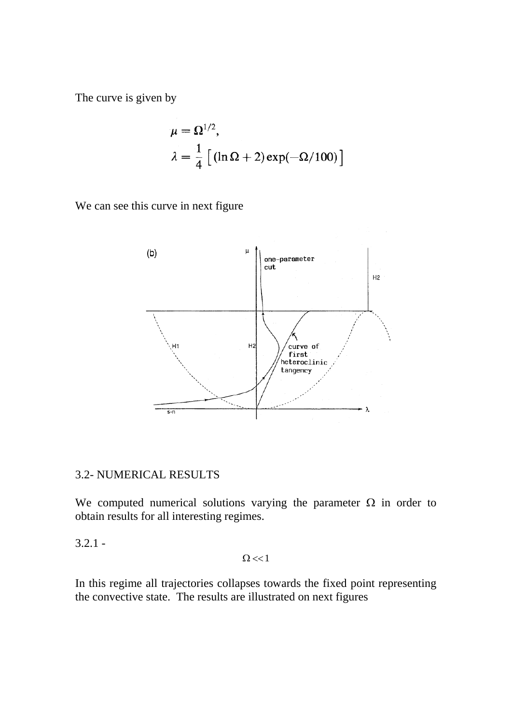The curve is given by

$$
\mu = \Omega^{1/2},
$$
  
\n
$$
\lambda = \frac{1}{4} \left[ (\ln \Omega + 2) \exp(-\Omega/100) \right]
$$

We can see this curve in next figure



## 3.2- NUMERICAL RESULTS

We computed numerical solutions varying the parameter  $\Omega$  in order to obtain results for all interesting regimes.

 $3.2.1 -$ 

 $\Omega$  <<1

In this regime all trajectories collapses towards the fixed point representing the convective state. The results are illustrated on next figures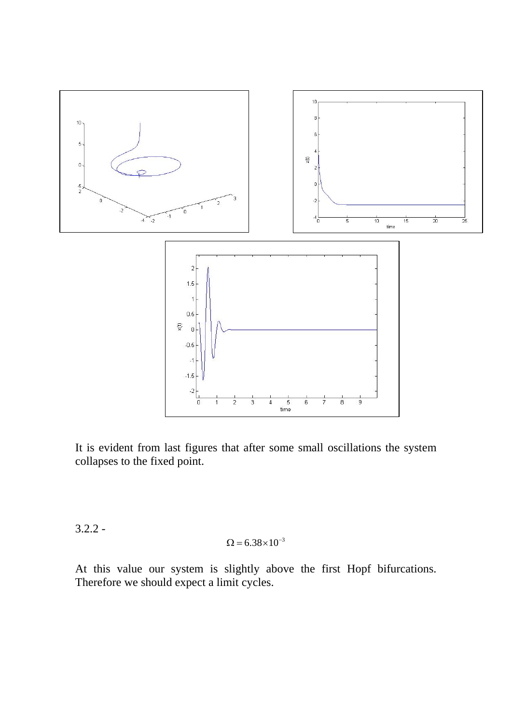

It is evident from last figures that after some small oscillations the system collapses to the fixed point.

3.2.2 -

$$
\Omega=6.38\!\times\!10^{-3}
$$

At this value our system is slightly above the first Hopf bifurcations. Therefore we should expect a limit cycles.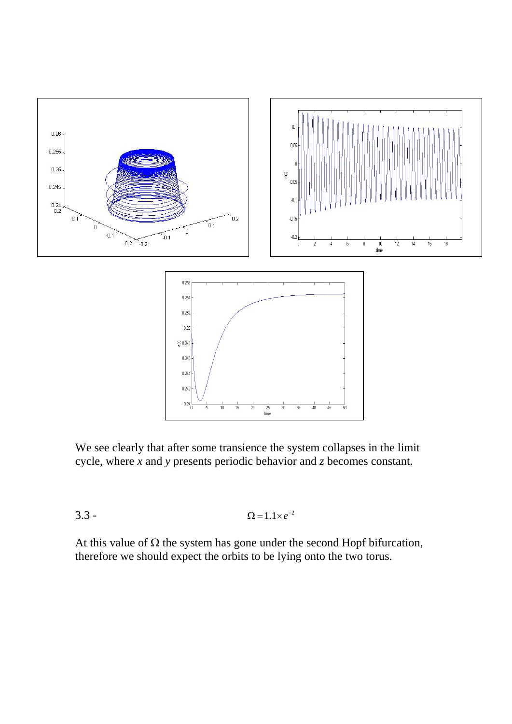

We see clearly that after some transience the system collapses in the limit cycle, where *x* and *y* presents periodic behavior and *z* becomes constant.

$$
\Omega = 1.1 \times e^{-2}
$$

At this value of  $\Omega$  the system has gone under the second Hopf bifurcation, therefore we should expect the orbits to be lying onto the two torus.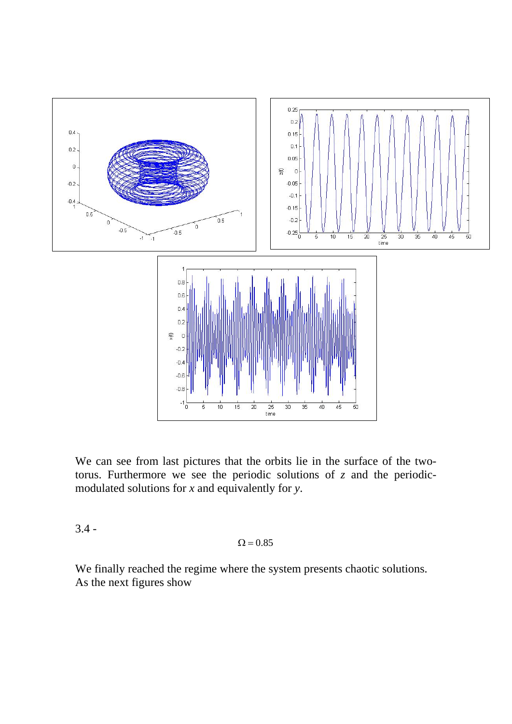

We can see from last pictures that the orbits lie in the surface of the twotorus. Furthermore we see the periodic solutions of *z* and the periodicmodulated solutions for *x* and equivalently for *y*.

 $3.4 -$ 

## $\Omega = 0.85$

We finally reached the regime where the system presents chaotic solutions. As the next figures show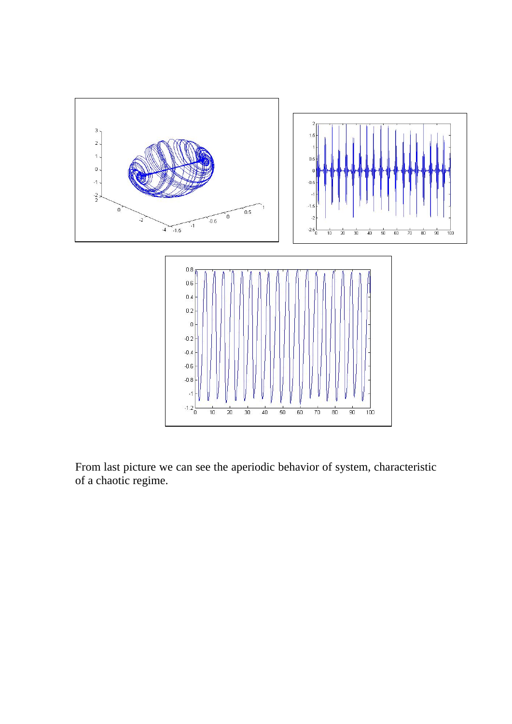

From last picture we can see the aperiodic behavior of system, characteristic of a chaotic regime.